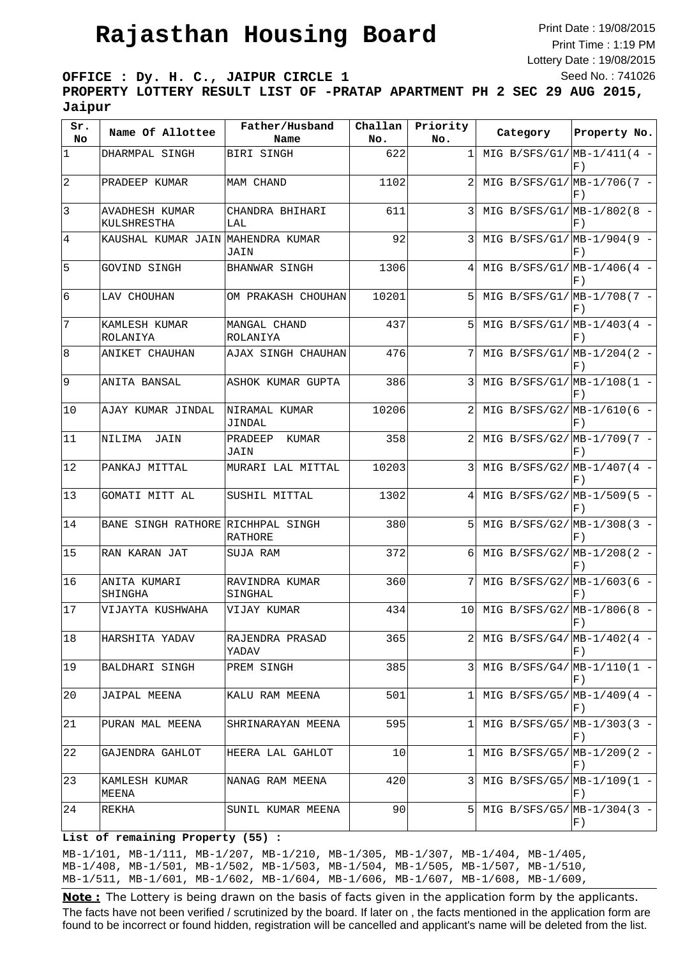## **Rajasthan Housing Board**

Print Date : 19/08/2015 Print Time : 1:19 PM Lottery Date : 19/08/2015 Seed No. : 741026

**OFFICE : Dy. H. C., JAIPUR CIRCLE 1**

**PROPERTY LOTTERY RESULT LIST OF -PRATAP APARTMENT PH 2 SEC 29 AUG 2015, Jaipur**

| Sr.<br>No      | Name Of Allottee                  | Father/Husband<br>Name    | Challan<br>No. | Priority<br>No. | Category                        | Property No.                  |
|----------------|-----------------------------------|---------------------------|----------------|-----------------|---------------------------------|-------------------------------|
| $ 1\rangle$    | DHARMPAL SINGH                    | BIRI SINGH                | 622            | 1               | MIG B/SFS/G1/ $MB-1/411(4 -$    | F)                            |
| $\overline{2}$ | PRADEEP KUMAR                     | MAM CHAND                 | 1102           | 2               | MIG B/SFS/G1/ $MB-1/706(7 -$    | F)                            |
| 3              | AVADHESH KUMAR<br>KULSHRESTHA     | CHANDRA BHIHARI<br>LAL    | 611            | 3               | MIG B/SFS/G1/ $MB-1/802(8 -$    | F)                            |
| $\overline{4}$ | KAUSHAL KUMAR JAIN MAHENDRA KUMAR | JAIN                      | 92             | 3               | MIG B/SFS/G1/ $MB-1/904(9 -$    | F)                            |
| 5              | GOVIND SINGH                      | BHANWAR SINGH             | 1306           | 4               | MIG B/SFS/G1/ $MB-1/406(4 -$    | F)                            |
| 6              | LAV CHOUHAN                       | OM PRAKASH CHOUHAN        | 10201          | 5               | MIG B/SFS/G1/ $ MB-1/708(7 -$   | F)                            |
| 7              | KAMLESH KUMAR<br>ROLANIYA         | MANGAL CHAND<br>ROLANIYA  | 437            | 5               | MIG B/SFS/G1/ $ MB-1/403(4 -$   | F)                            |
| 8              | ANIKET CHAUHAN                    | AJAX SINGH CHAUHAN        | 476            | 7               | MIG B/SFS/G1/ $MB-1/204(2 -$    | F)                            |
| 9              | ANITA BANSAL                      | ASHOK KUMAR GUPTA         | 386            | 3               | MIG B/SFS/G1/ $MB-1/108(1 -$    | F)                            |
| 10             | AJAY KUMAR JINDAL                 | NIRAMAL KUMAR<br>JINDAL   | 10206          |                 | MIG B/SFS/G2/ $MB-1/610(6 -$    | F)                            |
| 11             | NILIMA<br>JAIN                    | KUMAR<br>PRADEEP<br>JAIN  | 358            |                 | MIG B/SFS/G2/ $MB-1/709(7 -$    | $F$ )                         |
| 12             | PANKAJ MITTAL                     | MURARI LAL MITTAL         | 10203          | 3               | MIG B/SFS/G2/ $MB-1/407(4 -$    | F)                            |
| 13             | GOMATI MITT AL                    | SUSHIL MITTAL             | 1302           | 4               | MIG B/SFS/G2/ $MB-1/509(5 -$    | F)                            |
| 14             | BANE SINGH RATHORE RICHHPAL SINGH | RATHORE                   | 380            | 5               | MIG B/SFS/G2/ $MB-1/308(3 -$    | F)                            |
| 15             | RAN KARAN JAT                     | SUJA RAM                  | 372            | 6               | MIG B/SFS/G2/ $MB-1/208(2 -$    | F)                            |
| 16             | ANITA KUMARI<br>SHINGHA           | RAVINDRA KUMAR<br>SINGHAL | 360            | 7               | MIG B/SFS/G2/ $MB-1/603(6 -$    | F)                            |
| 17             | VIJAYTA KUSHWAHA                  | VIJAY KUMAR               | 434            | 10              | MIG B/SFS/G2/ $MB-1/806(8 -$    | $\left  \mathrm{F}\ \right)$  |
| 18             | HARSHITA YADAV                    | RAJENDRA PRASAD<br>YADAV  | 365            |                 | MIG B/SFS/G4/ $MB-1/402(4 -$    | F)                            |
| 19             | BALDHARI SINGH                    | PREM SINGH                | 385            | 3               | MIG B/SFS/G4/ $MB-1/110(1 -$    | F)                            |
| 20             | JAIPAL MEENA                      | KALU RAM MEENA            | 501            | 1               | MIG B/SFS/G5/ $MB-1/409(4 -$    | F)                            |
| 21             | PURAN MAL MEENA                   | SHRINARAYAN MEENA         | 595            | 1               | MIG B/SFS/G5/ $MB-1/303(3 -$    | F)                            |
| 22             | GAJENDRA GAHLOT                   | HEERA LAL GAHLOT          | 10             | 1               | MIG B/SFS/G5/ $ MB-1/209(2 -  $ | F                             |
| 23             | KAMLESH KUMAR<br>MEENA            | NANAG RAM MEENA           | 420            | 3               | MIG B/SFS/G5/ $MB-1/109(1 -$    | F)                            |
| 24             | REKHA                             | SUNIL KUMAR MEENA         | 90             | 5               | MIG B/SFS/G5/ $MB-1/304(3 -$    | $\left  \mathrm{F} \right.$ ) |

## **List of remaining Property (55) :**

MB-1/101, MB-1/111, MB-1/207, MB-1/210, MB-1/305, MB-1/307, MB-1/404, MB-1/405, MB-1/408, MB-1/501, MB-1/502, MB-1/503, MB-1/504, MB-1/505, MB-1/507, MB-1/510, MB-1/511, MB-1/601, MB-1/602, MB-1/604, MB-1/606, MB-1/607, MB-1/608, MB-1/609,

Note: The Lottery is being drawn on the basis of facts given in the application form by the applicants. we have the country of sources of the same of the same of the same of the same of the same of the same of the same of the same of the same of the same of the same of the same of the same of the same of the same of the same The facts have not been verified / scrutinized by the board. If later on , the facts mentioned in the application form are found to be incorrect or found hidden, registration will be cancelled and applicant's name will be deleted from the list.